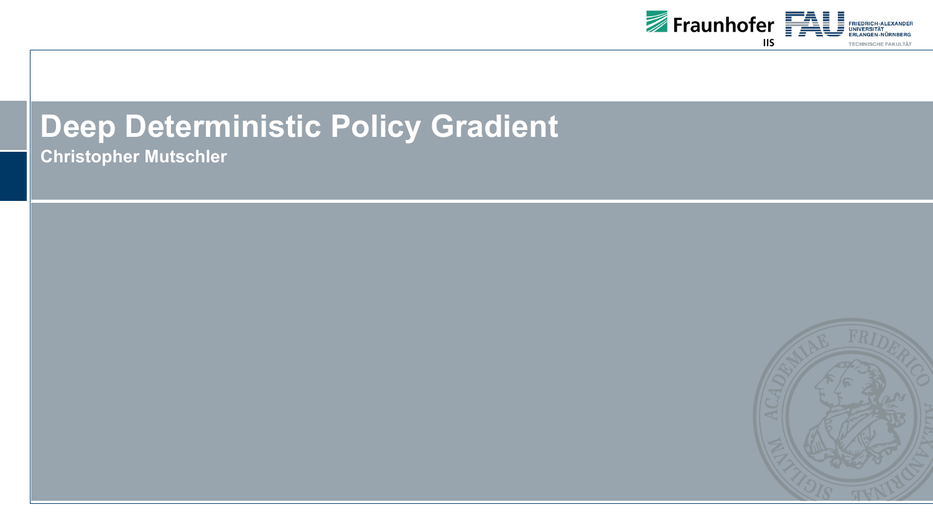

**Christopher Mutschler**

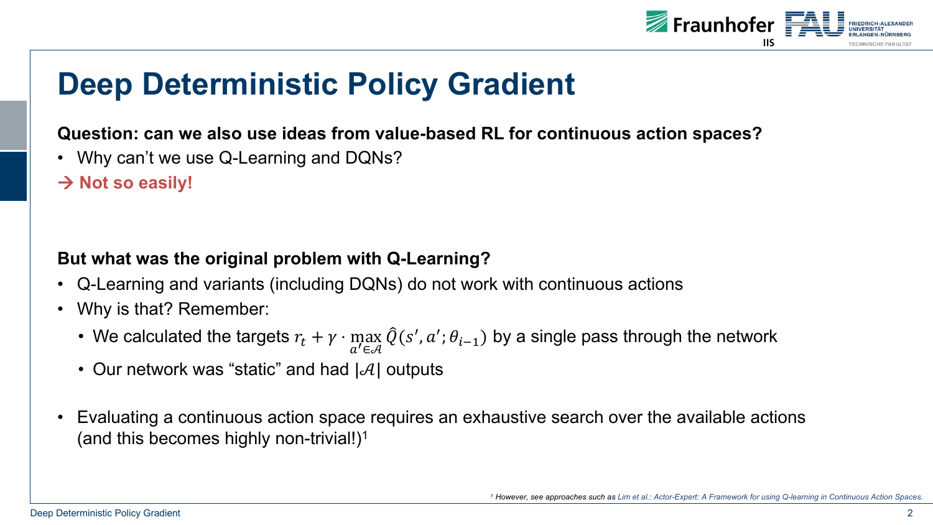

### **Question: can we also use ideas from value-based RL for continuous action spaces?**

- Why can't we use Q-Learning and DQNs?
- $→$  **Not so easily!**

### **But what was the original problem with Q-Learning?**

- Q-Learning and variants (including DQNs) do not work with continuous actions
- Why is that? Remember:
	- We calculated the targets  $r_t + \gamma \cdot \max_{a' \in \mathcal{A}} \hat{Q}(s', a'; \theta_{i-1})$  by a single pass through the network
	- Our network was "static" and had  $|\mathcal{A}|$  outputs
- Evaluating a continuous action space requires an exhaustive search over the available actions (and this becomes highly non-trivial!)1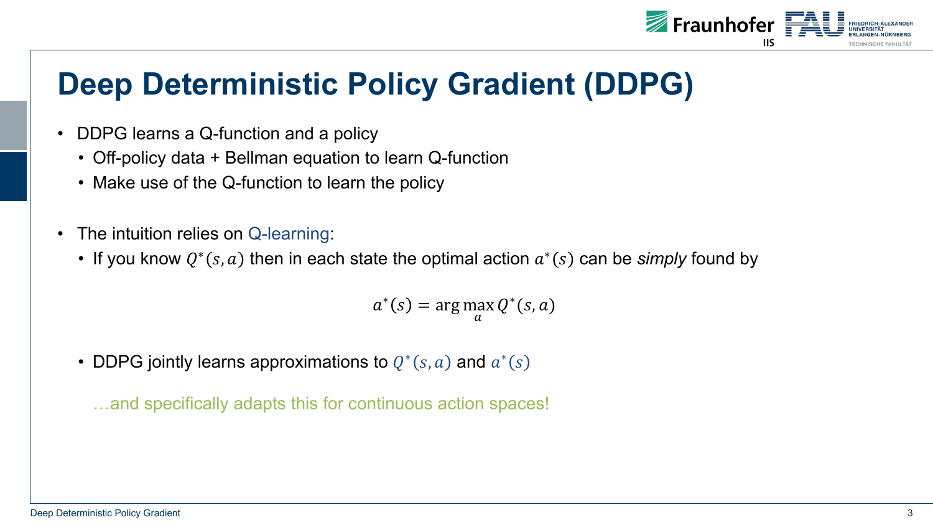

- DDPG learns a Q-function and a policy
	- Off-policy data + Bellman equation to learn Q-function
	- Make use of the Q-function to learn the policy
- The intuition relies on Q-learning:
	- If you know  $Q^*(s, a)$  then in each state the optimal action  $a^*(s)$  can be *simply* found by

 $a^*(s) = \arg \max$  $\overline{a}$  $Q^*(s, a)$ 

• DDPG jointly learns approximations to  $Q^*(s, a)$  and  $a^*(s)$ 

…and specifically adapts this for continuous action spaces!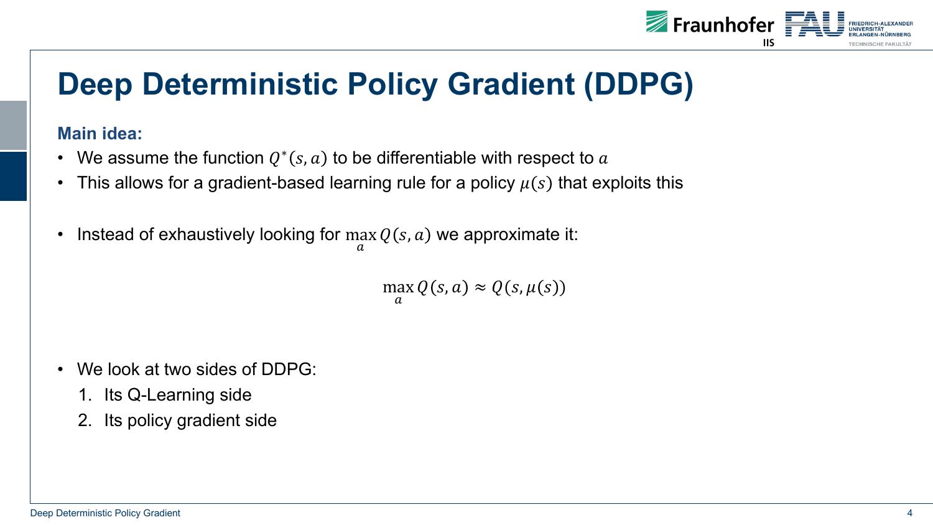

#### **Main idea:**

- We assume the function  $Q^*(s, a)$  to be differentiable with respect to a
- This allows for a gradient-based learning rule for a policy  $\mu(s)$  that exploits this
- Instead of exhaustively looking for max  $\overline{a}$  $Q(s, a)$  we approximate it:

max  $\overline{a}$  $Q(s, a) \approx Q(s, \mu(s))$ 

- We look at two sides of DDPG:
	- 1. Its Q-Learning side
	- 2. Its policy gradient side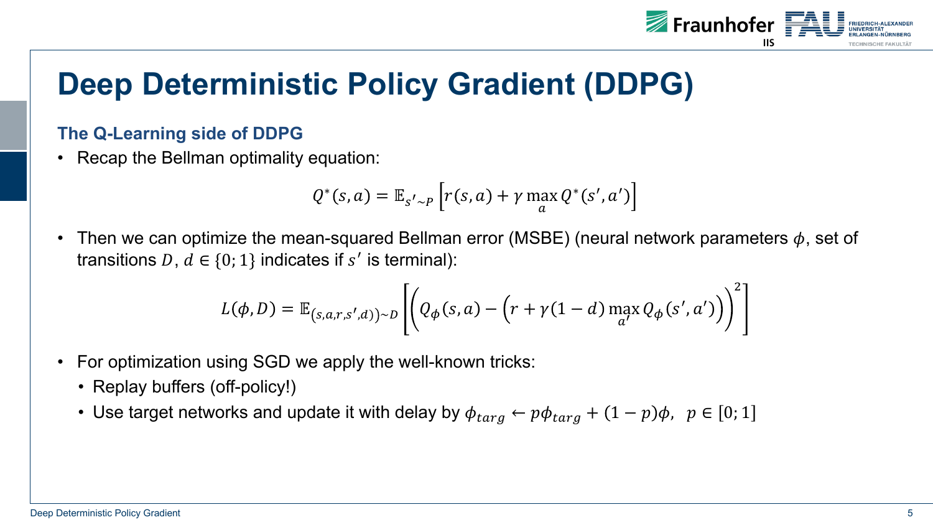

### **The Q-Learning side of DDPG**

• Recap the Bellman optimality equation:

$$
Q^*(s, a) = \mathbb{E}_{s' \sim P} \left[ r(s, a) + \gamma \max_{a} Q^*(s', a') \right]
$$

• Then we can optimize the mean-squared Bellman error (MSBE) (neural network parameters  $\phi$ , set of transitions D,  $d \in \{0, 1\}$  indicates if s' is terminal):

$$
L(\phi, D) = \mathbb{E}_{(s,a,r,s',d)) \sim D} \left[ \left( Q_{\phi}(s,a) - \left( r + \gamma(1-d) \max_{a'} Q_{\phi}(s',a') \right) \right)^2 \right]
$$

- For optimization using SGD we apply the well-known tricks:
	- Replay buffers (off-policy!)
	- Use target networks and update it with delay by  $\phi_{targ} \leftarrow p\phi_{targ} + (1 p)\phi$ ,  $p \in [0; 1]$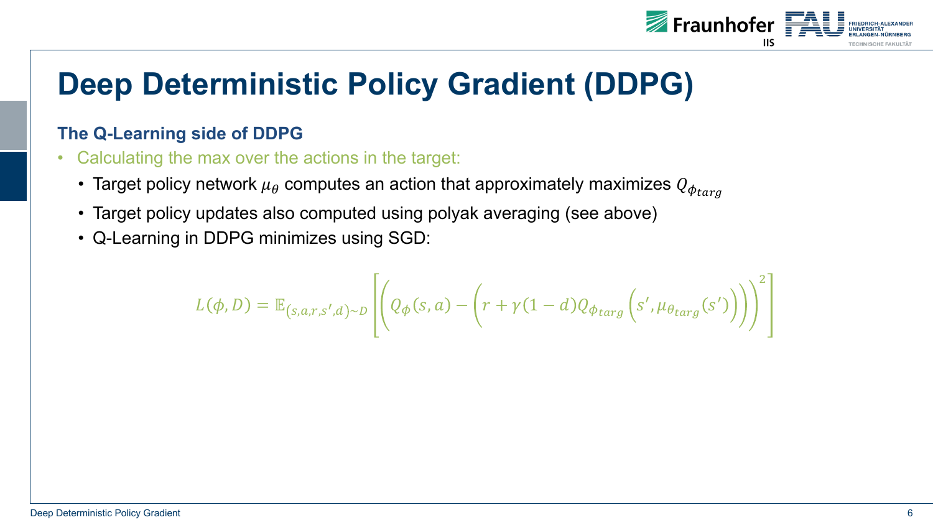

### **The Q-Learning side of DDPG**

- Calculating the max over the actions in the target:
	- Target policy network  $\mu_{\theta}$  computes an action that approximately maximizes  $Q_{\phi_{tara}}$
	- Target policy updates also computed using polyak averaging (see above)
	- Q-Learning in DDPG minimizes using SGD:

$$
L(\phi, D) = \mathbb{E}_{(s,a,r,s',d)\sim D} \left[ \left( Q_{\phi}(s,a) - \left( r + \gamma (1-d) Q_{\phi_{targ}} \left( s', \mu_{\theta_{targ}}(s') \right) \right) \right)^2 \right]
$$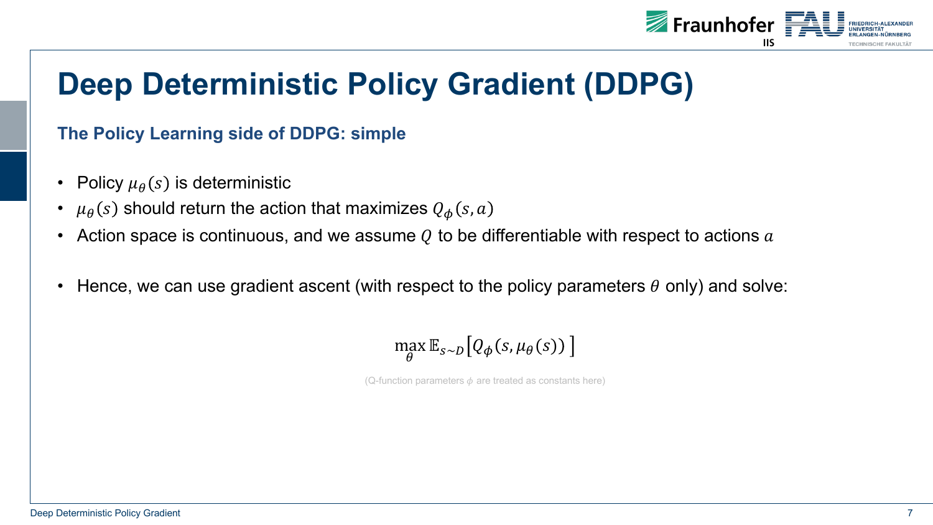

### **The Policy Learning side of DDPG: simple**

- Policy  $\mu_{\theta}(s)$  is deterministic
- $\mu_{\theta}(s)$  should return the action that maximizes  $Q_{\phi}(s, a)$
- Action space is continuous, and we assume  $Q$  to be differentiable with respect to actions  $a$
- Hence, we can use gradient ascent (with respect to the policy parameters  $\theta$  only) and solve:

$$
\max_{\theta} \mathbb{E}_{s \sim D} \big[ Q_{\phi}(s, \mu_{\theta}(s)) \big]
$$

(Q-function parameters  $\phi$  are treated as constants here)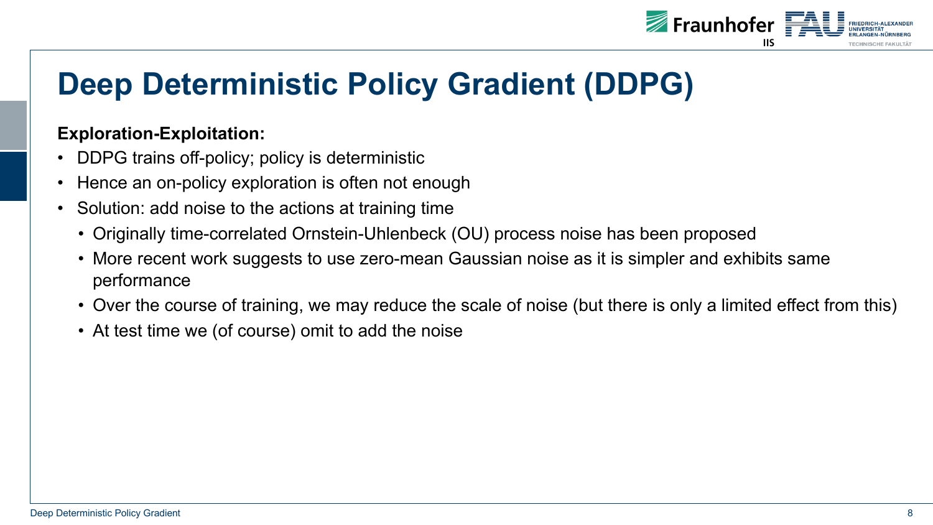

#### **Exploration-Exploitation:**

- DDPG trains off-policy; policy is deterministic
- Hence an on-policy exploration is often not enough
- Solution: add noise to the actions at training time
	- Originally time-correlated Ornstein-Uhlenbeck (OU) process noise has been proposed
	- More recent work suggests to use zero-mean Gaussian noise as it is simpler and exhibits same performance
	- Over the course of training, we may reduce the scale of noise (but there is only a limited effect from this)
	- At test time we (of course) omit to add the noise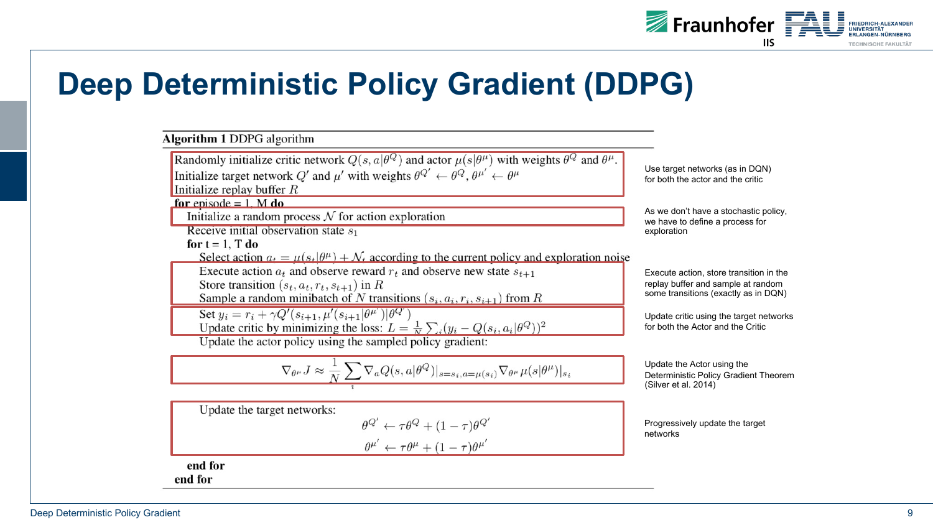

#### **Algorithm 1 DDPG** algorithm Randomly initialize critic network  $Q(s, a|\theta^Q)$  and actor  $\mu(s|\theta^{\mu})$  with weights  $\theta^Q$  and  $\theta^{\mu}$ . Use target networks (as in DQN) Initialize target network Q' and  $\mu'$  with weights  $\theta^{Q'} \leftarrow \theta^{Q}, \theta^{\mu'} \leftarrow \theta^{\mu}$ for both the actor and the critic Initialize replay buffer  $R$ for episode  $= 1$ . M do As we don't have a stochastic policy, Initialize a random process  $N$  for action exploration we have to define a process for Receive initial observation state  $s_1$ exploration for  $t = 1$ . T do Select action  $a_t = \mu(s_t|\theta^{\mu}) + \mathcal{N}_t$  according to the current policy and exploration noise Execute action  $a_t$  and observe reward  $r_t$  and observe new state  $s_{t+1}$ Execute action, store transition in the Store transition  $(s_t, a_t, r_t, s_{t+1})$  in R replay buffer and sample at random some transitions (exactly as in DQN) Sample a random minibatch of N transitions  $(s_i, a_i, r_i, s_{i+1})$  from R Set  $y_i = r_i + \gamma Q'(s_{i+1}, \mu'(s_{i+1}|\theta^{\mu'})|\theta^{Q'})$ Update critic using the target networks Update critic by minimizing the loss:  $L = \frac{1}{N} \sum_i (y_i - Q(s_i, a_i | \theta^Q))^2$ for both the Actor and the Critic Update the actor policy using the sampled policy gradient:  $\nabla_{\theta^{\mu}} J \approx \frac{1}{N} \sum \nabla_{a} Q(s, a | \theta^{Q})|_{s=s_{i}, a=\mu(s_{i})} \nabla_{\theta^{\mu}} \mu(s | \theta^{\mu})|_{s_{i}}$ Update the Actor using the Deterministic Policy Gradient Theorem (Silver et al. 2014) Update the target networks:  $\theta^{Q'} \leftarrow \tau \theta^{Q} + (1 - \tau) \theta^{Q'}$ Progressively update the target networks  $\theta^{\mu'} \leftarrow \tau \theta^\mu + (1-\tau) \theta^{\mu'}$

end for end for

Deep Deterministic Policy Gradient 9